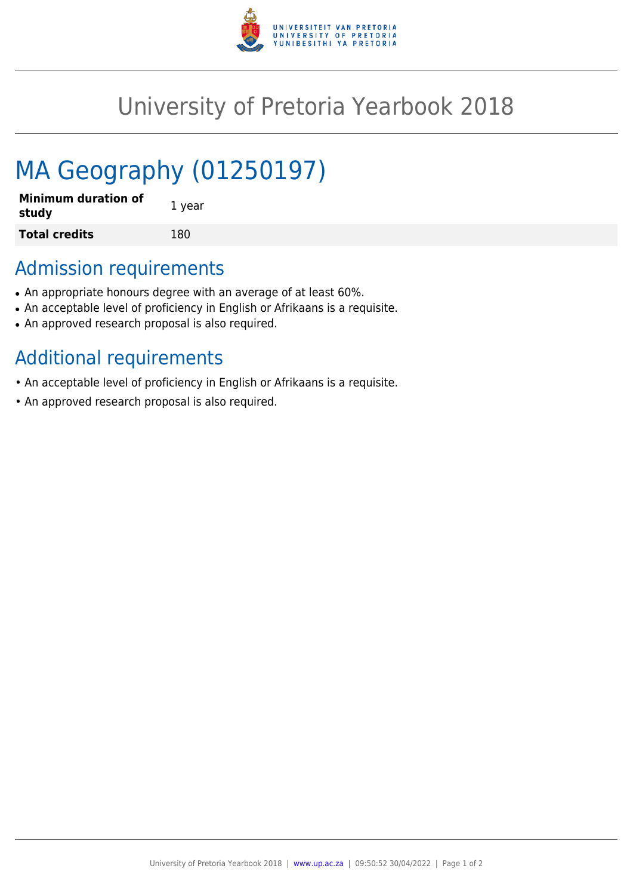

## University of Pretoria Yearbook 2018

# MA Geography (01250197)

| <b>Minimum duration of</b><br>study | 1 year |
|-------------------------------------|--------|
| <b>Total credits</b>                | 180    |

### Admission requirements

- An appropriate honours degree with an average of at least 60%.
- An acceptable level of proficiency in English or Afrikaans is a requisite.
- An approved research proposal is also required.

### Additional requirements

- An acceptable level of proficiency in English or Afrikaans is a requisite.
- An approved research proposal is also required.